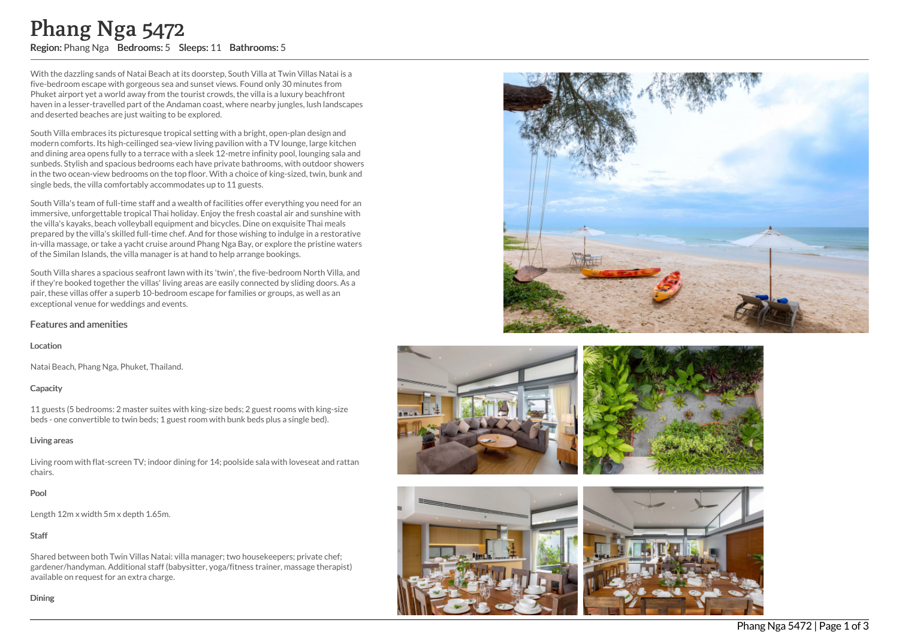With the dazzling sands of Natai Beach at its doorstep, South Villa at Twin Villas Natai is a five-bedroom escape with gorgeous sea and sunset views. Found only 30 minutes from Phuket airport yet a world away from the tourist crowds, the villa is a luxury beachfront haven in a lesser-travelled part of the Andaman coast, where nearby jungles, lush landscapes and deserted beaches are just waiting to be explored.

South Villa embraces its picturesque tropical setting with a bright, open-plan design and modern comforts. Its high-ceilinged sea-view living pavilion with a TV lounge, large kitchen and dining area opens fully to a terrace with a sleek 12-metre infinity pool, lounging sala and sunbeds. Stylish and spacious bedrooms each have private bathrooms, with outdoor showers in the two ocean-view bedrooms on the top floor. With a choice of king-sized, twin, bunk and single beds, the villa comfortably accommodates up to 11 guests. **Phang Nga 54772**<br>
Region: Phang Nga Bedrooms: 5 Sleeps: 11 Bathrooms: 5<br>
With the dazzling sands of Natai Beach at its doorstep, South Villa at Two-bedroom escape with gore<br>cose as and sunset viewer constrained and the Ph

South Villa's team of full-time staff and a wealth of facilities offer everything you need for an immersive, unforgettable tropical Thai holiday. Enjoy the fresh coastal air and sunshine with the villa's kayaks, beach volleyball equipment and bicycles. Dine on exquisite Thai meals prepared by the villa's skilled full-time chef. And for those wishing to indulge in a restorative in-villa massage, or take a yacht cruise around Phang Nga Bay, or explore the pristine waters of the Similan Islands, the villa manager is at hand to help arrange bookings.

South Villa shares a spacious seafront lawn with its 'twin', the five-bedroom North Villa, and if they're booked together the villas' living areas are easily connected by sliding doors. As a pair, these villas offer a superb 10-bedroom escape for families or groups, as well as an exceptional venue for weddings and events.

# Features and amenities

#### Location

Natai Beach, Phang Nga, Phuket, Thailand.

#### **Capacity**

11 guests (5 bedrooms: 2 master suites with king-size beds; 2 guest rooms with king-size beds - one convertible to twin beds; 1 guest room with bunk beds plus a single bed).

#### Living areas

Living room with flat-screen TV; indoor dining for 14; poolside sala with loveseat and rattan chairs.

# Pool

Length 12m x width 5m x depth 1.65m.

# Staff

Shared between both Twin Villas Natai: villa manager; two housekeepers; private chef; gardener/handyman. Additional staff (babysitter, yoga/fitness trainer, massage therapist) available on request for an extra charge.









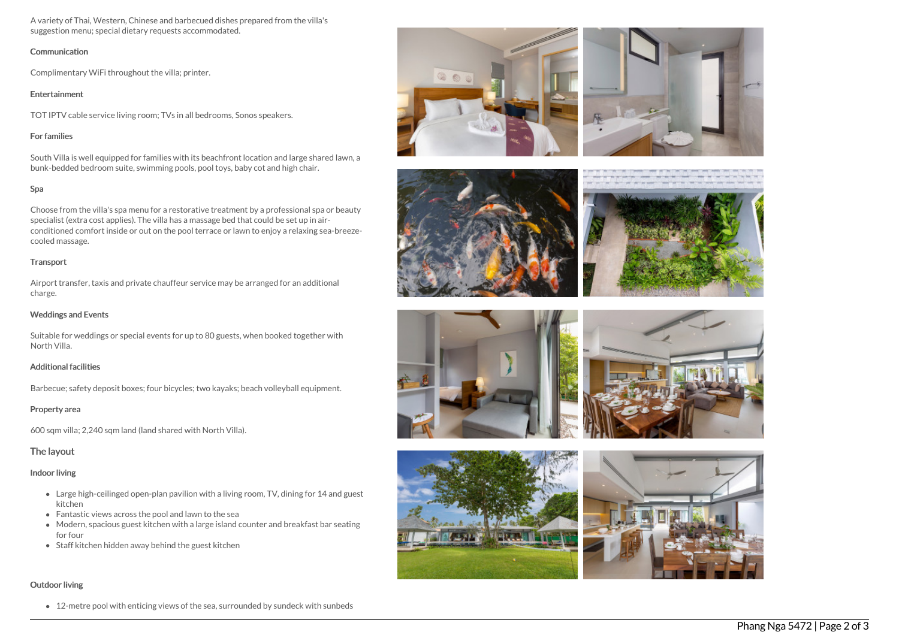A variety of Thai, Western, Chinese and barbecued dishes prepared from the villa's suggestion menu; special dietary requests accommodated.

#### **Communication**

Complimentary WiFi throughout the villa; printer.

#### Entertainment

TOT IPTV cable service living room; TVs in all bedrooms, Sonos speakers.

# For families

South Villa is well equipped for families with its beachfront location and large shared lawn, a bunk-bedded bedroom suite, swimming pools, pool toys, baby cot and high chair.

# Spa

Choose from the villa's spa menu for a restorative treatment by a professional spa or beauty specialist (extra cost applies). The villa has a massage bed that could be set up in airconditioned comfort inside or out on the pool terrace or lawn to enjoy a relaxing sea-breezecooled massage.

# **Transport**

Airport transfer, taxis and private chauffeur service may be arranged for an additional charge.

# Weddings and Events

Suitable for weddings or special events for up to 80 guests, when booked together with North Villa.

# Additional facilities

Barbecue; safety deposit boxes; four bicycles; two kayaks; beach volleyball equipment.

# Property area

600 sqm villa; 2,240 sqm land (land shared with North Villa).

# The layout

# Indoor living

- Large high-ceilinged open-plan pavilion with a living room, TV, dining for 14 and guest kitchen
- Fantastic views across the pool and lawn to the sea
- Modern, spacious guest kitchen with a large island counter and breakfast bar seating for four
- Staff kitchen hidden away behind the guest kitchen

# Outdoor living

• 12-metre pool with enticing views of the sea, surrounded by sundeck with sunbeds